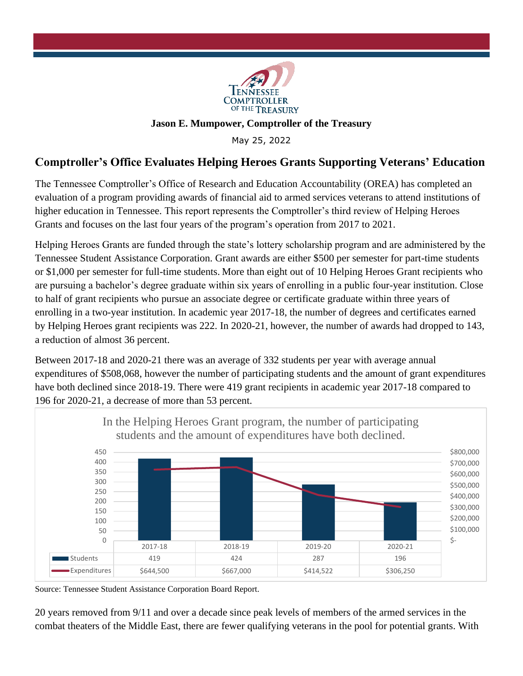

## **Jason E. Mumpower, Comptroller of the Treasury**

May 25, 2022

## **Comptroller's Office Evaluates Helping Heroes Grants Supporting Veterans' Education**

The Tennessee Comptroller's Office of Research and Education Accountability (OREA) has completed an evaluation of a program providing awards of financial aid to armed services veterans to attend institutions of higher education in Tennessee. This report represents the Comptroller's third review of Helping Heroes Grants and focuses on the last four years of the program's operation from 2017 to 2021.

Helping Heroes Grants are funded through the state's lottery scholarship program and are administered by the Tennessee Student Assistance Corporation. Grant awards are either \$500 per semester for part-time students or \$1,000 per semester for full-time students. More than eight out of 10 Helping Heroes Grant recipients who are pursuing a bachelor's degree graduate within six years of enrolling in a public four-year institution. Close to half of grant recipients who pursue an associate degree or certificate graduate within three years of enrolling in a two-year institution. In academic year 2017-18, the number of degrees and certificates earned by Helping Heroes grant recipients was 222. In 2020-21, however, the number of awards had dropped to 143, a reduction of almost 36 percent.

Between 2017-18 and 2020-21 there was an average of 332 students per year with average annual expenditures of \$508,068, however the number of participating students and the amount of grant expenditures have both declined since 2018-19. There were 419 grant recipients in academic year 2017-18 compared to 196 for 2020-21, a decrease of more than 53 percent.



Source: Tennessee Student Assistance Corporation Board Report.

20 years removed from 9/11 and over a decade since peak levels of members of the armed services in the combat theaters of the Middle East, there are fewer qualifying veterans in the pool for potential grants. With